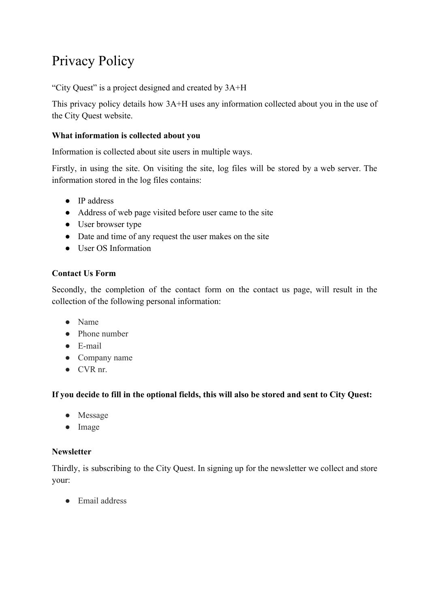# Privacy Policy

"City Quest" is a project designed and created by 3A+H

This privacy policy details how 3A+H uses any information collected about you in the use of the City Quest website.

#### **What information is collected about you**

Information is collected about site users in multiple ways.

Firstly, in using the site. On visiting the site, log files will be stored by a web server. The information stored in the log files contains:

- IP address
- Address of web page visited before user came to the site
- User browser type
- Date and time of any request the user makes on the site
- User OS Information

# **Contact Us Form**

Secondly, the completion of the contact form on the contact us page, will result in the collection of the following personal information:

- Name
- Phone number
- E-mail
- Company name
- CVR nr.

# **If you decide to fill in the optional fields, this will also be stored and sent to City Quest:**

- Message
- Image

# **Newsletter**

Thirdly, is subscribing to the City Quest. In signing up for the newsletter we collect and store your:

● Email address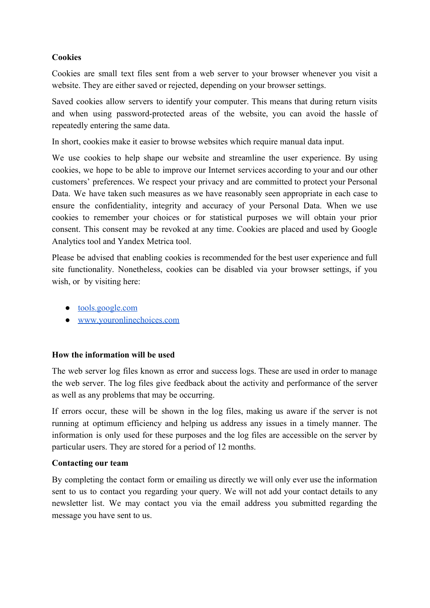#### **Cookies**

Cookies are small text files sent from a web server to your browser whenever you visit a website. They are either saved or rejected, depending on your browser settings.

Saved cookies allow servers to identify your computer. This means that during return visits and when using password-protected areas of the website, you can avoid the hassle of repeatedly entering the same data.

In short, cookies make it easier to browse websites which require manual data input.

We use cookies to help shape our website and streamline the user experience. By using cookies, we hope to be able to improve our Internet services according to your and our other customers' preferences. We respect your privacy and are committed to protect your Personal Data. We have taken such measures as we have reasonably seen appropriate in each case to ensure the confidentiality, integrity and accuracy of your Personal Data. When we use cookies to remember your choices or for statistical purposes we will obtain your prior consent. This consent may be revoked at any time. Cookies are placed and used by Google Analytics tool and Yandex Metrica tool.

Please be advised that enabling cookies is recommended for the best user experience and full site functionality. Nonetheless, cookies can be disabled via your browser settings, if you wish, or by visiting here:

- [tools.google.com](https://tools.google.com/dlpage/gaoptout/)
- [www.youronlinechoices.com](http://www.youronlinechoices.com/)

#### **How the information will be used**

The web server log files known as error and success logs. These are used in order to manage the web server. The log files give feedback about the activity and performance of the server as well as any problems that may be occurring.

If errors occur, these will be shown in the log files, making us aware if the server is not running at optimum efficiency and helping us address any issues in a timely manner. The information is only used for these purposes and the log files are accessible on the server by particular users. They are stored for a period of 12 months.

#### **Contacting our team**

By completing the contact form or emailing us directly we will only ever use the information sent to us to contact you regarding your query. We will not add your contact details to any newsletter list. We may contact you via the email address you submitted regarding the message you have sent to us.